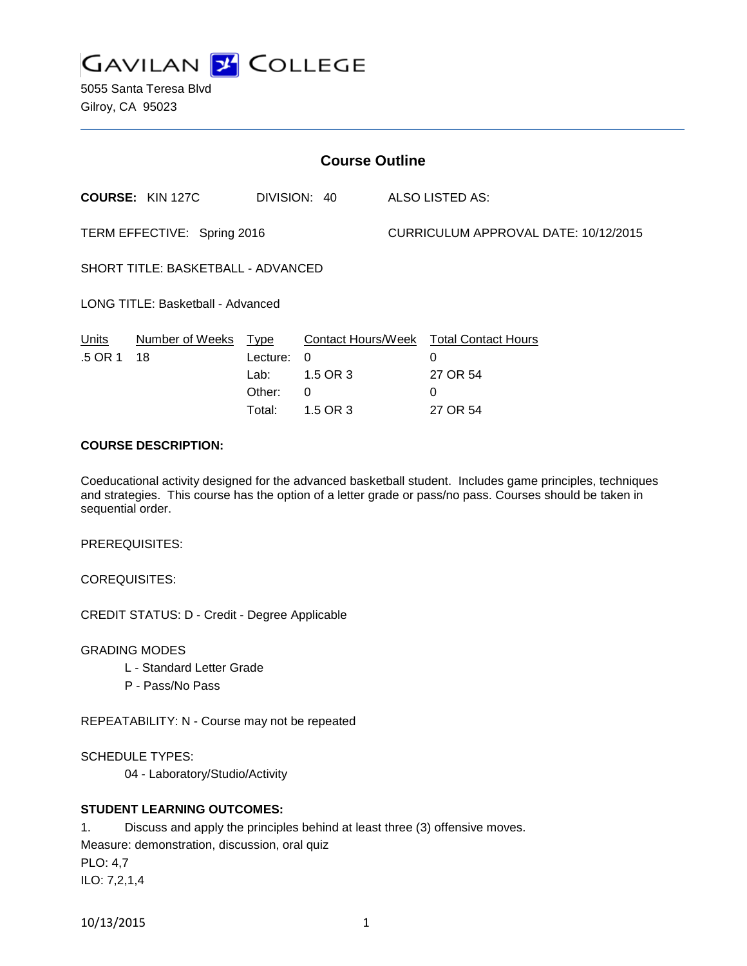

5055 Santa Teresa Blvd Gilroy, CA 95023

| <b>Course Outline</b>              |                         |          |                           |                                      |                            |
|------------------------------------|-------------------------|----------|---------------------------|--------------------------------------|----------------------------|
|                                    | <b>COURSE: KIN 127C</b> |          | DIVISION: 40              |                                      | ALSO LISTED AS:            |
| TERM EFFECTIVE: Spring 2016        |                         |          |                           | CURRICULUM APPROVAL DATE: 10/12/2015 |                            |
| SHORT TITLE: BASKETBALL - ADVANCED |                         |          |                           |                                      |                            |
| LONG TITLE: Basketball - Advanced  |                         |          |                           |                                      |                            |
| Units                              | Number of Weeks         | Type     | <b>Contact Hours/Week</b> |                                      | <b>Total Contact Hours</b> |
| .5 OR 1                            | 18                      | Lecture: | 0                         |                                      | 0                          |
|                                    |                         | Lab:     | 1.5 OR 3                  |                                      | 27 OR 54                   |
|                                    |                         | Other:   | $\Omega$                  |                                      | 0                          |
|                                    |                         | Total:   | 1.5 OR 3                  |                                      | 27 OR 54                   |

## **COURSE DESCRIPTION:**

Coeducational activity designed for the advanced basketball student. Includes game principles, techniques and strategies. This course has the option of a letter grade or pass/no pass. Courses should be taken in sequential order.

PREREQUISITES:

COREQUISITES:

CREDIT STATUS: D - Credit - Degree Applicable

GRADING MODES

- L Standard Letter Grade
- P Pass/No Pass

REPEATABILITY: N - Course may not be repeated

SCHEDULE TYPES:

04 - Laboratory/Studio/Activity

## **STUDENT LEARNING OUTCOMES:**

1. Discuss and apply the principles behind at least three (3) offensive moves. Measure: demonstration, discussion, oral quiz PLO: 4,7 ILO: 7,2,1,4

10/13/2015 1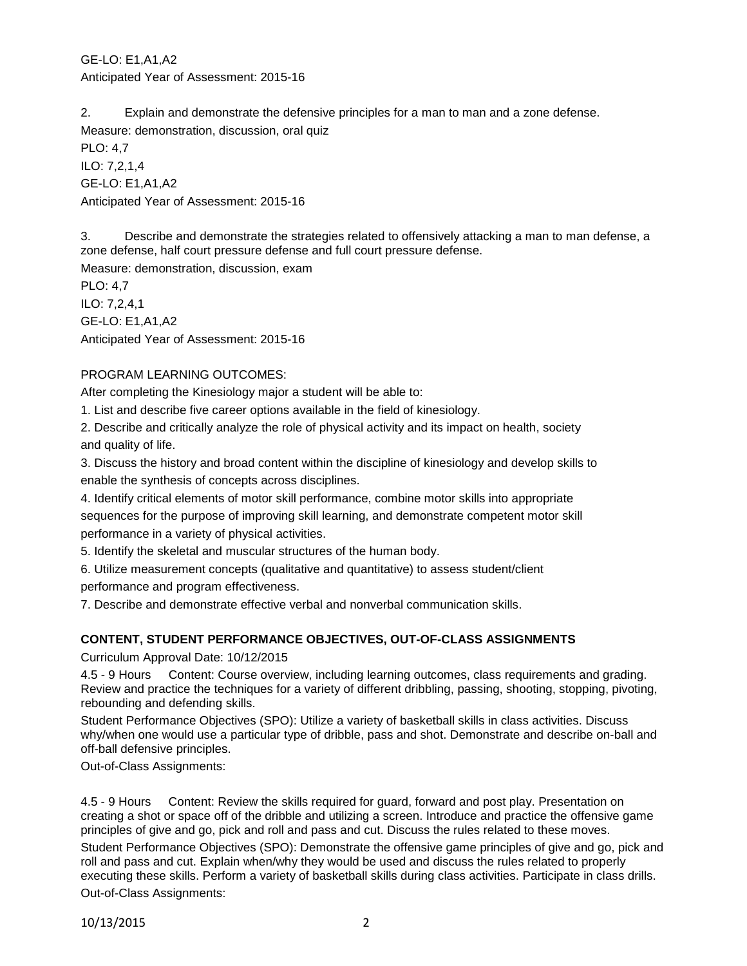GE-LO: E1,A1,A2 Anticipated Year of Assessment: 2015-16

2. Explain and demonstrate the defensive principles for a man to man and a zone defense. Measure: demonstration, discussion, oral quiz

PLO: 4,7 ILO: 7,2,1,4 GE-LO: E1,A1,A2 Anticipated Year of Assessment: 2015-16

3. Describe and demonstrate the strategies related to offensively attacking a man to man defense, a zone defense, half court pressure defense and full court pressure defense.

Measure: demonstration, discussion, exam

PLO: 4,7 ILO: 7,2,4,1 GE-LO: E1,A1,A2 Anticipated Year of Assessment: 2015-16

# PROGRAM LEARNING OUTCOMES:

After completing the Kinesiology major a student will be able to:

1. List and describe five career options available in the field of kinesiology.

2. Describe and critically analyze the role of physical activity and its impact on health, society and quality of life.

3. Discuss the history and broad content within the discipline of kinesiology and develop skills to enable the synthesis of concepts across disciplines.

4. Identify critical elements of motor skill performance, combine motor skills into appropriate sequences for the purpose of improving skill learning, and demonstrate competent motor skill performance in a variety of physical activities.

5. Identify the skeletal and muscular structures of the human body.

6. Utilize measurement concepts (qualitative and quantitative) to assess student/client

performance and program effectiveness.

7. Describe and demonstrate effective verbal and nonverbal communication skills.

# **CONTENT, STUDENT PERFORMANCE OBJECTIVES, OUT-OF-CLASS ASSIGNMENTS**

Curriculum Approval Date: 10/12/2015

4.5 - 9 Hours Content: Course overview, including learning outcomes, class requirements and grading. Review and practice the techniques for a variety of different dribbling, passing, shooting, stopping, pivoting, rebounding and defending skills.

Student Performance Objectives (SPO): Utilize a variety of basketball skills in class activities. Discuss why/when one would use a particular type of dribble, pass and shot. Demonstrate and describe on-ball and off-ball defensive principles.

Out-of-Class Assignments:

4.5 - 9 Hours Content: Review the skills required for guard, forward and post play. Presentation on creating a shot or space off of the dribble and utilizing a screen. Introduce and practice the offensive game principles of give and go, pick and roll and pass and cut. Discuss the rules related to these moves.

Student Performance Objectives (SPO): Demonstrate the offensive game principles of give and go, pick and roll and pass and cut. Explain when/why they would be used and discuss the rules related to properly executing these skills. Perform a variety of basketball skills during class activities. Participate in class drills. Out-of-Class Assignments:

10/13/2015 2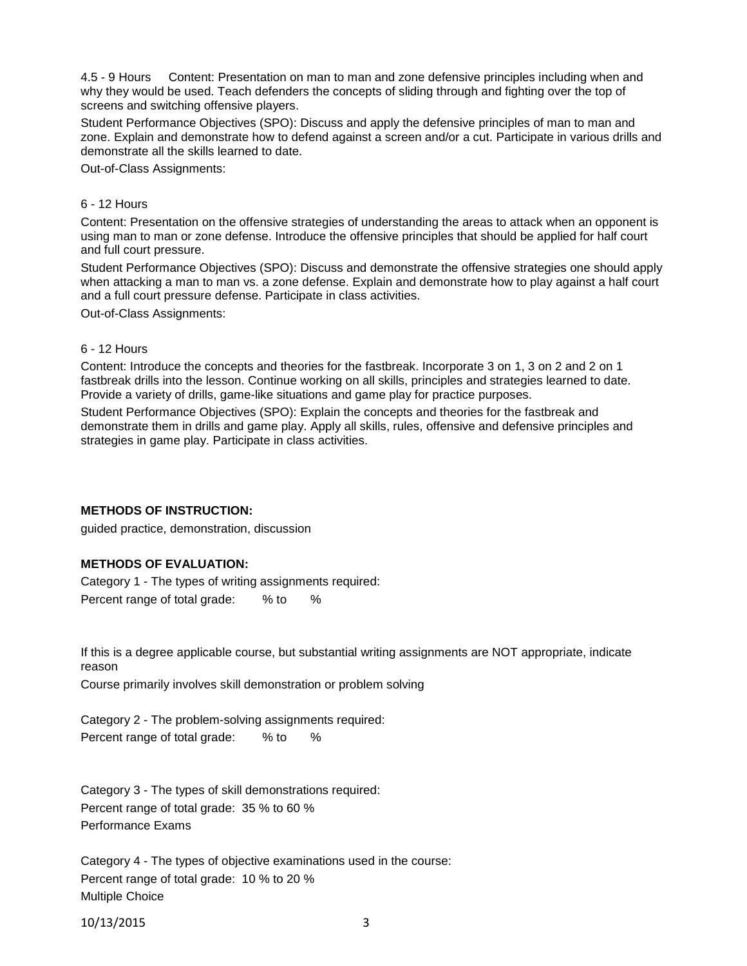4.5 - 9 Hours Content: Presentation on man to man and zone defensive principles including when and why they would be used. Teach defenders the concepts of sliding through and fighting over the top of screens and switching offensive players.

Student Performance Objectives (SPO): Discuss and apply the defensive principles of man to man and zone. Explain and demonstrate how to defend against a screen and/or a cut. Participate in various drills and demonstrate all the skills learned to date.

Out-of-Class Assignments:

#### 6 - 12 Hours

Content: Presentation on the offensive strategies of understanding the areas to attack when an opponent is using man to man or zone defense. Introduce the offensive principles that should be applied for half court and full court pressure.

Student Performance Objectives (SPO): Discuss and demonstrate the offensive strategies one should apply when attacking a man to man vs. a zone defense. Explain and demonstrate how to play against a half court and a full court pressure defense. Participate in class activities.

Out-of-Class Assignments:

#### 6 - 12 Hours

Content: Introduce the concepts and theories for the fastbreak. Incorporate 3 on 1, 3 on 2 and 2 on 1 fastbreak drills into the lesson. Continue working on all skills, principles and strategies learned to date. Provide a variety of drills, game-like situations and game play for practice purposes.

Student Performance Objectives (SPO): Explain the concepts and theories for the fastbreak and demonstrate them in drills and game play. Apply all skills, rules, offensive and defensive principles and strategies in game play. Participate in class activities.

#### **METHODS OF INSTRUCTION:**

guided practice, demonstration, discussion

## **METHODS OF EVALUATION:**

Category 1 - The types of writing assignments required: Percent range of total grade: % to %

If this is a degree applicable course, but substantial writing assignments are NOT appropriate, indicate reason

Course primarily involves skill demonstration or problem solving

Category 2 - The problem-solving assignments required: Percent range of total grade: % to %

Category 3 - The types of skill demonstrations required: Percent range of total grade: 35 % to 60 % Performance Exams

Category 4 - The types of objective examinations used in the course: Percent range of total grade: 10 % to 20 % Multiple Choice